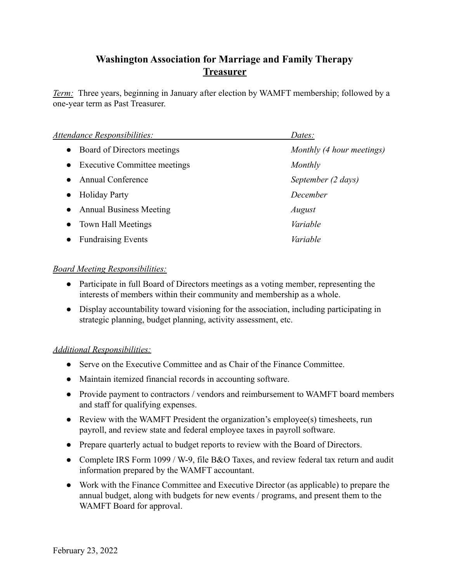## **Washington Association for Marriage and Family Therapy Treasurer**

*Term:* Three years, beginning in January after election by WAMFT membership; followed by a one-year term as Past Treasurer.

| Attendance Responsibilities:                     | Dates:                    |
|--------------------------------------------------|---------------------------|
| Board of Directors meetings<br>$\bullet$         | Monthly (4 hour meetings) |
| <b>Executive Committee meetings</b><br>$\bullet$ | Monthly                   |
| <b>Annual Conference</b>                         | September (2 days)        |
| <b>Holiday Party</b><br>$\bullet$                | December                  |
| <b>Annual Business Meeting</b>                   | August                    |
| Town Hall Meetings<br>$\bullet$                  | Variable                  |
| <b>Fundraising Events</b>                        | Variable                  |

## *Board Meeting Responsibilities:*

- Participate in full Board of Directors meetings as a voting member, representing the interests of members within their community and membership as a whole.
- Display accountability toward visioning for the association, including participating in strategic planning, budget planning, activity assessment, etc.

## *Additional Responsibilities:*

- Serve on the Executive Committee and as Chair of the Finance Committee.
- Maintain itemized financial records in accounting software.
- Provide payment to contractors / vendors and reimbursement to WAMFT board members and staff for qualifying expenses.
- Review with the WAMFT President the organization's employee(s) timesheets, run payroll, and review state and federal employee taxes in payroll software.
- Prepare quarterly actual to budget reports to review with the Board of Directors.
- Complete IRS Form 1099 / W-9, file B&O Taxes, and review federal tax return and audit information prepared by the WAMFT accountant.
- Work with the Finance Committee and Executive Director (as applicable) to prepare the annual budget, along with budgets for new events / programs, and present them to the WAMFT Board for approval.